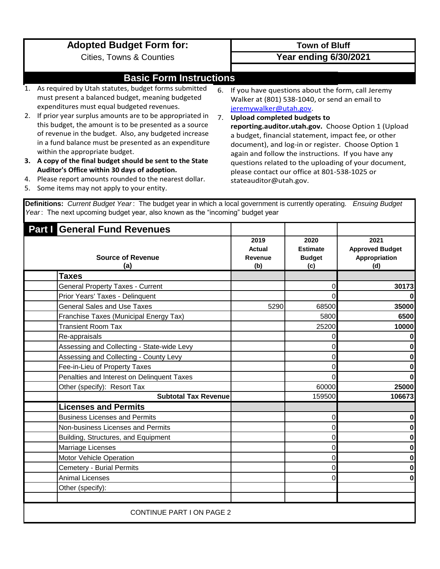|    | <b>Adopted Budget Form for:</b>                                                                                                                                                                                                                                       |    | <b>Town of Bluff</b>                                                                                                                                                                                                                                         |
|----|-----------------------------------------------------------------------------------------------------------------------------------------------------------------------------------------------------------------------------------------------------------------------|----|--------------------------------------------------------------------------------------------------------------------------------------------------------------------------------------------------------------------------------------------------------------|
|    | <b>Cities, Towns &amp; Counties</b>                                                                                                                                                                                                                                   |    | <b>Year ending 6/30/2021</b>                                                                                                                                                                                                                                 |
|    |                                                                                                                                                                                                                                                                       |    |                                                                                                                                                                                                                                                              |
|    | <b>Basic Form Instructions</b>                                                                                                                                                                                                                                        |    |                                                                                                                                                                                                                                                              |
|    | As required by Utah statutes, budget forms submitted<br>must present a balanced budget, meaning budgeted<br>expenditures must equal budgeted revenues.                                                                                                                |    | 6. If you have questions about the form, call Jeremy<br>Walker at (801) 538-1040, or send an email to<br>jeremywalker@utah.gov.                                                                                                                              |
| 2. | If prior year surplus amounts are to be appropriated in<br>this budget, the amount is to be presented as a source<br>of revenue in the budget. Also, any budgeted increase<br>in a fund balance must be presented as an expenditure<br>within the appropriate budget. | 7. | <b>Upload completed budgets to</b><br>reporting.auditor.utah.gov. Choose Option 1 (Upload<br>a budget, financial statement, impact fee, or other<br>document), and log-in or register. Choose Option 1<br>again and follow the instructions. If you have any |
| 3. | A copy of the final budget should be sent to the State                                                                                                                                                                                                                |    | questions related to the uploading of your document,                                                                                                                                                                                                         |
| 4. | Auditor's Office within 30 days of adoption.<br>Please report amounts rounded to the nearest dollar.                                                                                                                                                                  |    | please contact our office at 801-538-1025 or<br>stateauditor@utah.gov.                                                                                                                                                                                       |

5. Some items may not apply to your entity.

**Definitions:** *Current Budget Year* : The budget year in which a local government is currently operating. *Ensuing Budget Year* : The next upcoming budget year, also known as the "incoming" budget year

| <b>Part   General Fund Revenues</b>        |                                  |                                                 |                                                        |  |  |
|--------------------------------------------|----------------------------------|-------------------------------------------------|--------------------------------------------------------|--|--|
| <b>Source of Revenue</b><br>(a)            | 2019<br>Actual<br>Revenue<br>(b) | 2020<br><b>Estimate</b><br><b>Budget</b><br>(c) | 2021<br><b>Approved Budget</b><br>Appropriation<br>(d) |  |  |
| Taxes                                      |                                  |                                                 |                                                        |  |  |
| <b>General Property Taxes - Current</b>    |                                  | 0                                               | 30173                                                  |  |  |
| Prior Years' Taxes - Delinquent            |                                  | 0                                               | $\bf{0}$                                               |  |  |
| <b>General Sales and Use Taxes</b>         | 5290                             | 68500                                           | 35000                                                  |  |  |
| Franchise Taxes (Municipal Energy Tax)     |                                  | 5800                                            | 6500                                                   |  |  |
| <b>Transient Room Tax</b>                  |                                  | 25200                                           | 10000                                                  |  |  |
| Re-appraisals                              |                                  |                                                 | $\mathbf 0$                                            |  |  |
| Assessing and Collecting - State-wide Levy |                                  |                                                 | $\mathbf 0$                                            |  |  |
| Assessing and Collecting - County Levy     |                                  |                                                 | $\mathbf 0$                                            |  |  |
| Fee-in-Lieu of Property Taxes              |                                  |                                                 | 0                                                      |  |  |
| Penalties and Interest on Delinquent Taxes |                                  | 0                                               | $\mathbf{0}$                                           |  |  |
| Other (specify): Resort Tax                |                                  | 60000                                           | 25000                                                  |  |  |
| <b>Subtotal Tax Revenue</b>                |                                  | 159500                                          | 106673                                                 |  |  |
| <b>Licenses and Permits</b>                |                                  |                                                 |                                                        |  |  |
| <b>Business Licenses and Permits</b>       |                                  | 0                                               | $\mathbf 0$                                            |  |  |
| Non-business Licenses and Permits          |                                  |                                                 | $\mathbf 0$                                            |  |  |
| Building, Structures, and Equipment        |                                  |                                                 | $\mathbf 0$                                            |  |  |
| Marriage Licenses                          |                                  | 0                                               | $\mathbf 0$                                            |  |  |
| Motor Vehicle Operation                    |                                  | 0                                               | $\mathbf{0}$                                           |  |  |
| <b>Cemetery - Burial Permits</b>           |                                  | 0                                               | $\mathbf 0$                                            |  |  |
| <b>Animal Licenses</b>                     |                                  | 0                                               | $\mathbf{0}$                                           |  |  |
| Other (specify):                           |                                  |                                                 |                                                        |  |  |
|                                            |                                  |                                                 |                                                        |  |  |
| <b>CONTINUE PART I ON PAGE 2</b>           |                                  |                                                 |                                                        |  |  |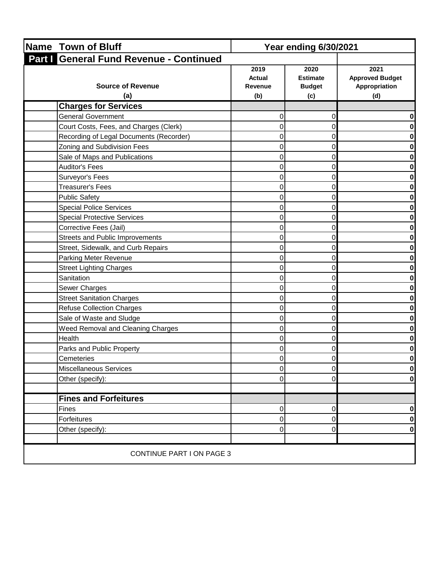| <b>Name Town of Bluff</b>               | <b>Year ending 6/30/2021</b>            |                                                 |                                                        |
|-----------------------------------------|-----------------------------------------|-------------------------------------------------|--------------------------------------------------------|
| Part   General Fund Revenue - Continued |                                         |                                                 |                                                        |
| <b>Source of Revenue</b><br>(a)         | 2019<br><b>Actual</b><br>Revenue<br>(b) | 2020<br><b>Estimate</b><br><b>Budget</b><br>(c) | 2021<br><b>Approved Budget</b><br>Appropriation<br>(d) |
| <b>Charges for Services</b>             |                                         |                                                 |                                                        |
| <b>General Government</b>               | 0                                       | 0                                               | 0                                                      |
| Court Costs, Fees, and Charges (Clerk)  | 0                                       | 0                                               | 0                                                      |
| Recording of Legal Documents (Recorder) | 0                                       | 0                                               | $\mathbf{0}$                                           |
| Zoning and Subdivision Fees             | 0                                       | 0                                               | $\mathbf 0$                                            |
| Sale of Maps and Publications           | 0                                       | 0                                               | 0                                                      |
| <b>Auditor's Fees</b>                   | 0                                       | $\Omega$                                        | $\mathbf{0}$                                           |
| Surveyor's Fees                         | 0                                       | 0                                               | 0                                                      |
| Treasurer's Fees                        | 0                                       | 0                                               | 0                                                      |
| <b>Public Safety</b>                    | 0                                       | 0                                               | $\mathbf{0}$                                           |
| <b>Special Police Services</b>          | 0                                       | 0                                               | 0                                                      |
| <b>Special Protective Services</b>      | 0                                       | 0                                               | 0                                                      |
| Corrective Fees (Jail)                  | 0                                       | 0                                               | $\mathbf 0$                                            |
| Streets and Public Improvements         | 0                                       | 0                                               | 0                                                      |
| Street, Sidewalk, and Curb Repairs      | 0                                       | 0                                               | $\mathbf 0$                                            |
| Parking Meter Revenue                   | 0                                       | 0                                               | 0                                                      |
| <b>Street Lighting Charges</b>          | 0                                       | 0                                               | 0                                                      |
| Sanitation                              | 0                                       | 0                                               | 0                                                      |
| Sewer Charges                           | 0                                       | $\Omega$                                        | 0                                                      |
| <b>Street Sanitation Charges</b>        | 0                                       | 0                                               | 0                                                      |
| <b>Refuse Collection Charges</b>        | 0                                       | 0                                               | 0                                                      |
| Sale of Waste and Sludge                | 0                                       | $\Omega$                                        | $\mathbf{0}$                                           |
| Weed Removal and Cleaning Charges       | 0                                       | 0                                               | 0                                                      |
| Health                                  | 0                                       | 0                                               | $\mathbf 0$                                            |
| Parks and Public Property               | 0                                       | 0                                               | 0                                                      |
| Cemeteries                              | $\Omega$                                | $\Omega$                                        | $\mathbf{0}$                                           |
| Miscellaneous Services                  | 0                                       | 0                                               | 0                                                      |
| Other (specify):                        | 0                                       | $\Omega$                                        | $\mathbf{0}$                                           |
|                                         |                                         |                                                 |                                                        |
| <b>Fines and Forfeitures</b>            |                                         |                                                 |                                                        |
| Fines                                   | 0                                       | $\overline{0}$                                  | 0                                                      |
| Forfeitures                             | $\mathbf 0$                             | $\overline{0}$                                  | $\mathbf{0}$                                           |
| Other (specify):                        | 0                                       | 0                                               | 0                                                      |
|                                         |                                         |                                                 |                                                        |
| <b>CONTINUE PART I ON PAGE 3</b>        |                                         |                                                 |                                                        |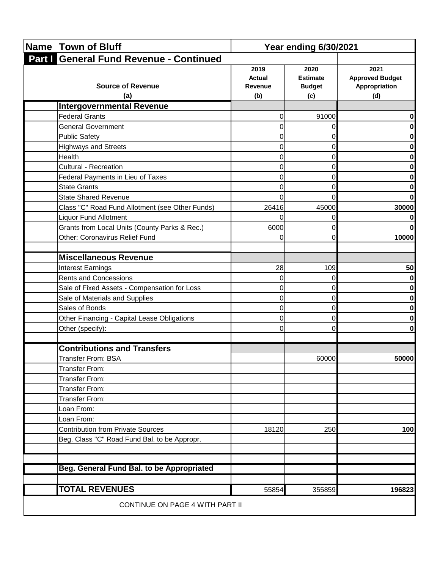| Name Town of Bluff                              | <b>Year ending 6/30/2021</b>     |                                                 |                                                        |  |
|-------------------------------------------------|----------------------------------|-------------------------------------------------|--------------------------------------------------------|--|
| Part   General Fund Revenue - Continued         |                                  |                                                 |                                                        |  |
| <b>Source of Revenue</b><br>(a)                 | 2019<br>Actual<br>Revenue<br>(b) | 2020<br><b>Estimate</b><br><b>Budget</b><br>(c) | 2021<br><b>Approved Budget</b><br>Appropriation<br>(d) |  |
| <b>Intergovernmental Revenue</b>                |                                  |                                                 |                                                        |  |
| <b>Federal Grants</b>                           | 0                                | 91000                                           |                                                        |  |
| <b>General Government</b>                       | 0                                | 0                                               |                                                        |  |
| <b>Public Safety</b>                            | 0                                | 0                                               |                                                        |  |
| <b>Highways and Streets</b>                     | 0                                | 0                                               |                                                        |  |
| Health                                          | 0                                | 0                                               |                                                        |  |
| <b>Cultural - Recreation</b>                    | 0                                | 0                                               | o                                                      |  |
| Federal Payments in Lieu of Taxes               |                                  |                                                 |                                                        |  |
| <b>State Grants</b>                             |                                  | 0                                               |                                                        |  |
| <b>State Shared Revenue</b>                     | O                                | 0                                               |                                                        |  |
| Class "C" Road Fund Allotment (see Other Funds) | 26416                            | 45000                                           | 30000                                                  |  |
| <b>Liquor Fund Allotment</b>                    |                                  | 0                                               |                                                        |  |
| Grants from Local Units (County Parks & Rec.)   | 6000                             | 0                                               |                                                        |  |
| Other: Coronavirus Relief Fund                  | 0                                | 0                                               | 10000                                                  |  |
|                                                 |                                  |                                                 |                                                        |  |
| <b>Miscellaneous Revenue</b>                    |                                  |                                                 |                                                        |  |
| <b>Interest Earnings</b>                        | 28                               | 109                                             | 50                                                     |  |
| <b>Rents and Concessions</b>                    | 0                                | 0                                               |                                                        |  |
| Sale of Fixed Assets - Compensation for Loss    | 0                                | 0                                               |                                                        |  |
| Sale of Materials and Supplies                  | 0                                | 0                                               |                                                        |  |
| Sales of Bonds                                  | 0                                | 0                                               |                                                        |  |
| Other Financing - Capital Lease Obligations     | 0                                | 0                                               |                                                        |  |
| Other (specify):                                | 0                                | 0                                               |                                                        |  |
|                                                 |                                  |                                                 |                                                        |  |
| <b>Contributions and Transfers</b>              |                                  |                                                 |                                                        |  |
| <b>Transfer From: BSA</b>                       |                                  | 60000                                           | 50000                                                  |  |
| <b>Transfer From:</b>                           |                                  |                                                 |                                                        |  |
| <b>Transfer From:</b>                           |                                  |                                                 |                                                        |  |
| <b>Transfer From:</b>                           |                                  |                                                 |                                                        |  |
| Transfer From:                                  |                                  |                                                 |                                                        |  |
| Loan From:                                      |                                  |                                                 |                                                        |  |
| Loan From:                                      |                                  |                                                 |                                                        |  |
| <b>Contribution from Private Sources</b>        | 18120                            | 250                                             | 100                                                    |  |
| Beg. Class "C" Road Fund Bal. to be Appropr.    |                                  |                                                 |                                                        |  |
| Beg. General Fund Bal. to be Appropriated       |                                  |                                                 |                                                        |  |
| <b>TOTAL REVENUES</b>                           | 55854                            | 355859                                          | 196823                                                 |  |
| CONTINUE ON PAGE 4 WITH PART II                 |                                  |                                                 |                                                        |  |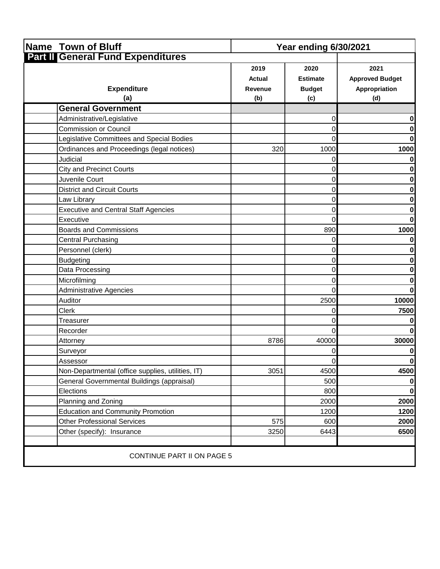| Name Town of Bluff                                | <b>Year ending 6/30/2021</b>            |                                                 |                                                        |
|---------------------------------------------------|-----------------------------------------|-------------------------------------------------|--------------------------------------------------------|
| <b>Part II General Fund Expenditures</b>          |                                         |                                                 |                                                        |
| <b>Expenditure</b><br>(a)                         | 2019<br><b>Actual</b><br>Revenue<br>(b) | 2020<br><b>Estimate</b><br><b>Budget</b><br>(c) | 2021<br><b>Approved Budget</b><br>Appropriation<br>(d) |
| <b>General Government</b>                         |                                         |                                                 |                                                        |
| Administrative/Legislative                        |                                         | 0                                               | 0                                                      |
| <b>Commission or Council</b>                      |                                         | 0                                               | 0                                                      |
| Legislative Committees and Special Bodies         |                                         | 0                                               | $\mathbf{0}$                                           |
| Ordinances and Proceedings (legal notices)        | 320                                     | 1000                                            | 1000                                                   |
| Judicial                                          |                                         | 0                                               | 0                                                      |
| <b>City and Precinct Courts</b>                   |                                         | 0                                               | 0                                                      |
| Juvenile Court                                    |                                         | 0                                               | $\mathbf{0}$                                           |
| <b>District and Circuit Courts</b>                |                                         | 0                                               | 0                                                      |
| Law Library                                       |                                         | 0                                               | $\mathbf 0$                                            |
| <b>Executive and Central Staff Agencies</b>       |                                         | $\Omega$                                        | 0                                                      |
| Executive                                         |                                         | 0                                               | $\mathbf{0}$                                           |
| <b>Boards and Commissions</b>                     |                                         | 890                                             | 1000                                                   |
| <b>Central Purchasing</b>                         |                                         | $\Omega$                                        | 0                                                      |
| Personnel (clerk)                                 |                                         | 0                                               | 0                                                      |
| <b>Budgeting</b>                                  |                                         | 0                                               | 0                                                      |
| Data Processing                                   |                                         | 0                                               | 0                                                      |
| Microfilming                                      |                                         | 0                                               | 0                                                      |
| Administrative Agencies                           |                                         | 0                                               | $\mathbf{0}$                                           |
| Auditor                                           |                                         | 2500                                            | 10000                                                  |
| <b>Clerk</b>                                      |                                         | 0                                               | 7500                                                   |
| Treasurer                                         |                                         | 0                                               | 0                                                      |
| Recorder                                          |                                         | $\Omega$                                        | $\mathbf{0}$                                           |
| Attorney                                          | 8786                                    | 40000                                           | 30000                                                  |
| Surveyor                                          |                                         | 0                                               | 0                                                      |
| Assessor                                          |                                         | $\overline{0}$                                  | $\mathbf{0}$                                           |
| Non-Departmental (office supplies, utilities, IT) | 3051                                    | 4500                                            | 4500                                                   |
| General Governmental Buildings (appraisal)        |                                         | 500                                             | 0                                                      |
| Elections                                         |                                         | 800                                             | $\mathbf{0}$                                           |
| Planning and Zoning                               |                                         | 2000                                            | 2000                                                   |
| <b>Education and Community Promotion</b>          |                                         | 1200                                            | 1200                                                   |
| <b>Other Professional Services</b>                | 575                                     | 600                                             | 2000                                                   |
| Other (specify): Insurance                        | 3250                                    | 6443                                            | 6500                                                   |
|                                                   |                                         |                                                 |                                                        |
| <b>CONTINUE PART II ON PAGE 5</b>                 |                                         |                                                 |                                                        |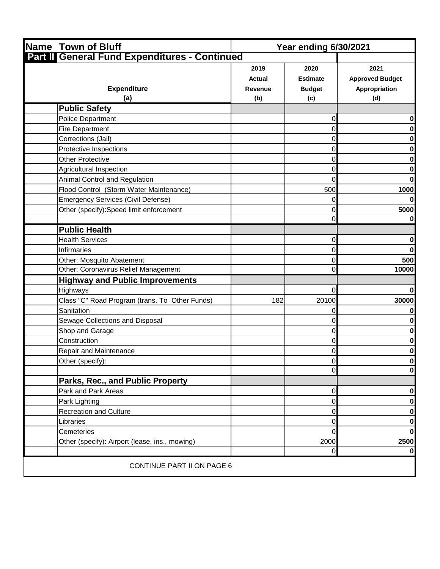| <b>Name Town of Bluff</b><br><b>Year ending 6/30/2021</b> |                                                |                                                 |                                                        |
|-----------------------------------------------------------|------------------------------------------------|-------------------------------------------------|--------------------------------------------------------|
| Part II General Fund Expenditures - Continued             |                                                |                                                 |                                                        |
| <b>Expenditure</b><br>(a)                                 | 2019<br><b>Actual</b><br><b>Revenue</b><br>(b) | 2020<br><b>Estimate</b><br><b>Budget</b><br>(c) | 2021<br><b>Approved Budget</b><br>Appropriation<br>(d) |
| <b>Public Safety</b>                                      |                                                |                                                 |                                                        |
| <b>Police Department</b>                                  |                                                | 0                                               | 0                                                      |
| Fire Department                                           |                                                | 0                                               | 0                                                      |
| Corrections (Jail)                                        |                                                | 0                                               | $\mathbf{0}$                                           |
| Protective Inspections                                    |                                                | 0                                               | 0                                                      |
| <b>Other Protective</b>                                   |                                                | 0                                               | 0                                                      |
| Agricultural Inspection                                   |                                                | 0                                               | 0                                                      |
| Animal Control and Regulation                             |                                                | 0                                               | $\mathbf{0}$                                           |
| Flood Control (Storm Water Maintenance)                   |                                                | 500                                             | 1000                                                   |
| <b>Emergency Services (Civil Defense)</b>                 |                                                | 0                                               | $\mathbf{0}$                                           |
| Other (specify): Speed limit enforcement                  |                                                | 0                                               | 5000                                                   |
|                                                           |                                                | 0                                               | 0                                                      |
| <b>Public Health</b>                                      |                                                |                                                 |                                                        |
| <b>Health Services</b>                                    |                                                | 0                                               | 0                                                      |
| Infirmaries                                               |                                                | 0                                               | $\mathbf{0}$                                           |
| Other: Mosquito Abatement                                 |                                                | 0                                               | 500                                                    |
| Other: Coronavirus Relief Management                      |                                                | $\Omega$                                        | 10000                                                  |
| <b>Highway and Public Improvements</b>                    |                                                |                                                 |                                                        |
| Highways                                                  |                                                | 0                                               | $\mathbf{0}$                                           |
| Class "C" Road Program (trans. To Other Funds)            | 182                                            | 20100                                           | 30000                                                  |
| Sanitation                                                |                                                | 0                                               | $\mathbf{0}$                                           |
| Sewage Collections and Disposal                           |                                                | 0                                               | 0                                                      |
| Shop and Garage                                           |                                                | 0                                               | 0                                                      |
| Construction                                              |                                                | 0                                               | 0                                                      |
| <b>Repair and Maintenance</b>                             |                                                | 0                                               | 0                                                      |
| Other (specify):                                          |                                                | $\overline{0}$                                  | $\mathbf{0}$                                           |
|                                                           |                                                | 0                                               | $\mathbf{0}$                                           |
| Parks, Rec., and Public Property                          |                                                |                                                 |                                                        |
| Park and Park Areas                                       |                                                | 0                                               | $\mathbf{0}$                                           |
| Park Lighting                                             |                                                | 0                                               | 0                                                      |
| <b>Recreation and Culture</b>                             |                                                | 0                                               | 0                                                      |
| Libraries                                                 |                                                | 0                                               | $\mathbf{0}$                                           |
| Cemeteries                                                |                                                | 0                                               | $\mathbf{0}$                                           |
| Other (specify): Airport (lease, ins., mowing)            |                                                | 2000                                            | 2500                                                   |
|                                                           |                                                | $\Omega$                                        | 0                                                      |
| <b>CONTINUE PART II ON PAGE 6</b>                         |                                                |                                                 |                                                        |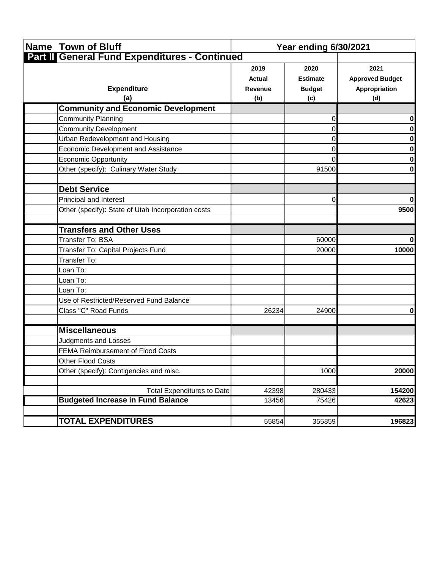| Name Town of Bluff                                 | <b>Year ending 6/30/2021</b>                   |                                                 |                                                        |
|----------------------------------------------------|------------------------------------------------|-------------------------------------------------|--------------------------------------------------------|
| Part II General Fund Expenditures - Continued      |                                                |                                                 |                                                        |
| <b>Expenditure</b><br>(a)                          | 2019<br><b>Actual</b><br><b>Revenue</b><br>(b) | 2020<br><b>Estimate</b><br><b>Budget</b><br>(c) | 2021<br><b>Approved Budget</b><br>Appropriation<br>(d) |
| <b>Community and Economic Development</b>          |                                                |                                                 |                                                        |
| <b>Community Planning</b>                          |                                                | 0                                               | 0                                                      |
| <b>Community Development</b>                       |                                                | 0                                               | $\mathbf{0}$                                           |
| Urban Redevelopment and Housing                    |                                                | 0                                               | 0                                                      |
| Economic Development and Assistance                |                                                | 0                                               | $\mathbf{0}$                                           |
| <b>Economic Opportunity</b>                        |                                                | 0                                               | 0                                                      |
| Other (specify): Culinary Water Study              |                                                | 91500                                           | $\mathbf{0}$                                           |
| <b>Debt Service</b>                                |                                                |                                                 |                                                        |
| Principal and Interest                             |                                                | 0                                               | 0                                                      |
| Other (specify): State of Utah Incorporation costs |                                                |                                                 | 9500                                                   |
| <b>Transfers and Other Uses</b>                    |                                                |                                                 |                                                        |
| Transfer To: BSA                                   |                                                | 60000                                           | 0                                                      |
| Transfer To: Capital Projects Fund                 |                                                | 20000                                           | 10000                                                  |
| Transfer To:                                       |                                                |                                                 |                                                        |
| Loan To:                                           |                                                |                                                 |                                                        |
| Loan To:                                           |                                                |                                                 |                                                        |
| Loan To:                                           |                                                |                                                 |                                                        |
| Use of Restricted/Reserved Fund Balance            |                                                |                                                 |                                                        |
| Class "C" Road Funds                               | 26234                                          | 24900                                           | 0                                                      |
| <b>Miscellaneous</b>                               |                                                |                                                 |                                                        |
| <b>Judgments and Losses</b>                        |                                                |                                                 |                                                        |
| FEMA Reimbursement of Flood Costs                  |                                                |                                                 |                                                        |
| Other Flood Costs                                  |                                                |                                                 |                                                        |
| Other (specify): Contigencies and misc.            |                                                | 1000                                            | 20000                                                  |
| <b>Total Expenditures to Date</b>                  | 42398                                          | 280433                                          | 154200                                                 |
| <b>Budgeted Increase in Fund Balance</b>           | 13456                                          | 75426                                           | 42623                                                  |
| <b>TOTAL EXPENDITURES</b>                          | 55854                                          | 355859                                          | 196823                                                 |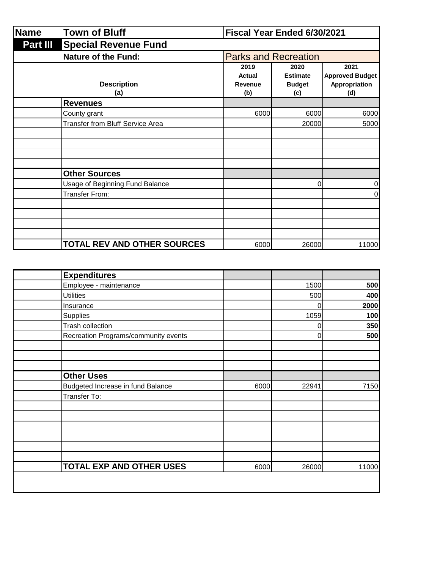| <b>Name</b>     | Fiscal Year Ended 6/30/2021             |                                  |                                                 |                                                        |
|-----------------|-----------------------------------------|----------------------------------|-------------------------------------------------|--------------------------------------------------------|
| <b>Part III</b> | <b>Special Revenue Fund</b>             |                                  |                                                 |                                                        |
|                 | <b>Nature of the Fund:</b>              |                                  | <b>Parks and Recreation</b>                     |                                                        |
|                 | <b>Description</b><br>(a)               | 2019<br>Actual<br>Revenue<br>(b) | 2020<br><b>Estimate</b><br><b>Budget</b><br>(c) | 2021<br><b>Approved Budget</b><br>Appropriation<br>(d) |
|                 | <b>Revenues</b>                         |                                  |                                                 |                                                        |
|                 | County grant                            | 6000                             | 6000                                            | 6000                                                   |
|                 | <b>Transfer from Bluff Service Area</b> |                                  | 20000                                           | 5000                                                   |
|                 |                                         |                                  |                                                 |                                                        |
|                 | <b>Other Sources</b>                    |                                  |                                                 |                                                        |
|                 | Usage of Beginning Fund Balance         |                                  | 0                                               | 0                                                      |
|                 | Transfer From:                          |                                  |                                                 | 0                                                      |
|                 |                                         |                                  |                                                 |                                                        |
|                 |                                         |                                  |                                                 |                                                        |
|                 | <b>TOTAL REV AND OTHER SOURCES</b>      | 6000                             | 26000                                           | 11000                                                  |

| <b>Expenditures</b>                  |      |             |       |
|--------------------------------------|------|-------------|-------|
| Employee - maintenance               |      | 1500        | 500   |
| <b>Utilities</b>                     |      | 500         | 400   |
| Insurance                            |      | 0           | 2000  |
| Supplies                             |      | 1059        | 100   |
| Trash collection                     |      | $\mathbf 0$ | 350   |
| Recreation Programs/community events |      | 0           | 500   |
|                                      |      |             |       |
|                                      |      |             |       |
|                                      |      |             |       |
| <b>Other Uses</b>                    |      |             |       |
| Budgeted Increase in fund Balance    | 6000 | 22941       | 7150  |
| Transfer To:                         |      |             |       |
|                                      |      |             |       |
|                                      |      |             |       |
|                                      |      |             |       |
|                                      |      |             |       |
|                                      |      |             |       |
|                                      |      |             |       |
| <b>TOTAL EXP AND OTHER USES</b>      | 6000 | 26000       | 11000 |
|                                      |      |             |       |
|                                      |      |             |       |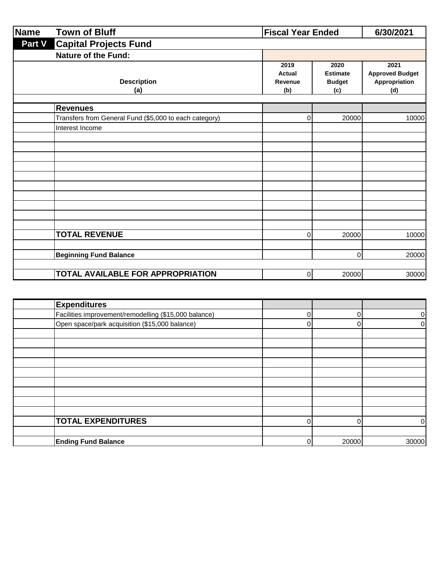| <b>Name</b> | <b>Town of Bluff</b>                                                      |                                         | <b>Fiscal Year Ended</b>                        |                                                        |  |
|-------------|---------------------------------------------------------------------------|-----------------------------------------|-------------------------------------------------|--------------------------------------------------------|--|
| Part V      | <b>Capital Projects Fund</b>                                              |                                         |                                                 |                                                        |  |
|             | <b>Nature of the Fund:</b>                                                |                                         |                                                 |                                                        |  |
|             | <b>Description</b><br>(a)                                                 | 2019<br><b>Actual</b><br>Revenue<br>(b) | 2020<br><b>Estimate</b><br><b>Budget</b><br>(c) | 2021<br><b>Approved Budget</b><br>Appropriation<br>(d) |  |
|             |                                                                           |                                         |                                                 |                                                        |  |
|             | <b>Revenues</b><br>Transfers from General Fund (\$5,000 to each category) | 0                                       | 20000                                           | 10000                                                  |  |
|             | Interest Income                                                           |                                         |                                                 |                                                        |  |
|             |                                                                           |                                         |                                                 |                                                        |  |
|             |                                                                           |                                         |                                                 |                                                        |  |
|             |                                                                           |                                         |                                                 |                                                        |  |
|             |                                                                           |                                         |                                                 |                                                        |  |
|             |                                                                           |                                         |                                                 |                                                        |  |
|             |                                                                           |                                         |                                                 |                                                        |  |
|             |                                                                           |                                         |                                                 |                                                        |  |
|             |                                                                           |                                         |                                                 |                                                        |  |
|             |                                                                           |                                         |                                                 |                                                        |  |
|             | <b>TOTAL REVENUE</b>                                                      | 0                                       | 20000                                           | 10000                                                  |  |
|             |                                                                           |                                         |                                                 |                                                        |  |
|             | <b>Beginning Fund Balance</b>                                             |                                         | $\Omega$                                        | 20000                                                  |  |
|             | TOTAL AVAILABLE FOR APPROPRIATION                                         | 0                                       | 20000                                           | 30000                                                  |  |

| <b>Expenditures</b>                                   |       |                |
|-------------------------------------------------------|-------|----------------|
| Facilities improvement/remodelling (\$15,000 balance) | 0     | 0              |
| Open space/park acquisition (\$15,000 balance)        |       | $\overline{0}$ |
|                                                       |       |                |
|                                                       |       |                |
|                                                       |       |                |
|                                                       |       |                |
|                                                       |       |                |
|                                                       |       |                |
|                                                       |       |                |
|                                                       |       |                |
|                                                       |       |                |
| <b>TOTAL EXPENDITURES</b>                             | 0     | 01             |
|                                                       |       |                |
| <b>Ending Fund Balance</b>                            | 20000 | 30000          |